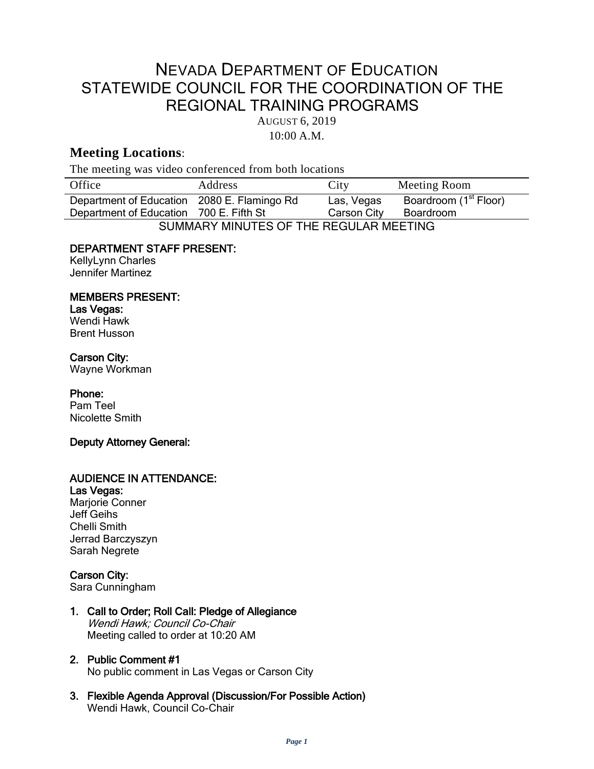# NEVADA DEPARTMENT OF EDUCATION STATEWIDE COUNCIL FOR THE COORDINATION OF THE REGIONAL TRAINING PROGRAMS

AUGUST 6, 2019

10:00 A.M.

# **Meeting Locations**:

The meeting was video conferenced from both locations

| Office                                      | Address | City        | Meeting Room                      |
|---------------------------------------------|---------|-------------|-----------------------------------|
| Department of Education 2080 E. Flamingo Rd |         | Las, Vegas  | Boardroom (1 <sup>st</sup> Floor) |
| Department of Education 700 E. Fifth St     |         | Carson City | Boardroom                         |
| CLIMMADV MINILITEC OF THE DECLILAD MEETING  |         |             |                                   |

SUMMARY MINUTES OF THE REGULAR MEETING

# DEPARTMENT STAFF PRESENT:

KellyLynn Charles Jennifer Martinez

### MEMBERS PRESENT:

Las Vegas: Wendi Hawk Brent Husson

# Carson City:

Wayne Workman

### Phone:

Pam Teel Nicolette Smith

### Deputy Attorney General:

# AUDIENCE IN ATTENDANCE:

Las Vegas: Marjorie Conner Jeff Geihs Chelli Smith Jerrad Barczyszyn Sarah Negrete

# Carson City:

Sara Cunningham

1. Call to Order; Roll Call: Pledge of Allegiance Wendi Hawk; Council Co-Chair Meeting called to order at 10:20 AM

# 2. Public Comment #1

No public comment in Las Vegas or Carson City

3. Flexible Agenda Approval (Discussion/For Possible Action) Wendi Hawk, Council Co-Chair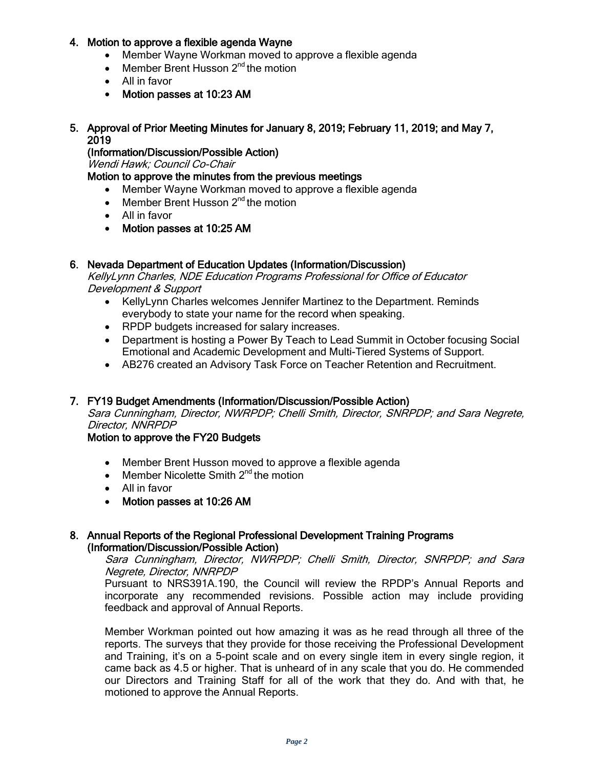### 4. Motion to approve a flexible agenda Wayne

- Member Wayne Workman moved to approve a flexible agenda
- Member Brent Husson  $2^{nd}$  the motion
- All in favor
- Motion passes at 10:23 AM

#### 5. Approval of Prior Meeting Minutes for January 8, 2019; February 11, 2019; and May 7, 2019

(Information/Discussion/Possible Action)

Wendi Hawk; Council Co-Chair

# Motion to approve the minutes from the previous meetings

- Member Wayne Workman moved to approve a flexible agenda
- Member Brent Husson  $2^{nd}$  the motion
- All in favor
- Motion passes at 10:25 AM

### 6. Nevada Department of Education Updates (Information/Discussion)

KellyLynn Charles, NDE Education Programs Professional for Office of Educator Development & Support

- KellyLynn Charles welcomes Jennifer Martinez to the Department. Reminds everybody to state your name for the record when speaking.
- RPDP budgets increased for salary increases.
- Department is hosting a Power By Teach to Lead Summit in October focusing Social Emotional and Academic Development and Multi-Tiered Systems of Support.
- AB276 created an Advisory Task Force on Teacher Retention and Recruitment.

### 7. FY19 Budget Amendments (Information/Discussion/Possible Action)

Sara Cunningham, Director, NWRPDP; Chelli Smith, Director, SNRPDP; and Sara Negrete, Director, NNRPDP

#### Motion to approve the FY20 Budgets

- Member Brent Husson moved to approve a flexible agenda
- Member Nicolette Smith  $2^{nd}$  the motion
- All in favor
- Motion passes at 10:26 AM

#### 8. Annual Reports of the Regional Professional Development Training Programs (Information/Discussion/Possible Action)

Sara Cunningham, Director, NWRPDP; Chelli Smith, Director, SNRPDP; and Sara Negrete, Director, NNRPDP

Pursuant to NRS391A.190, the Council will review the RPDP's Annual Reports and incorporate any recommended revisions. Possible action may include providing feedback and approval of Annual Reports.

Member Workman pointed out how amazing it was as he read through all three of the reports. The surveys that they provide for those receiving the Professional Development and Training, it's on a 5-point scale and on every single item in every single region, it came back as 4.5 or higher. That is unheard of in any scale that you do. He commended our Directors and Training Staff for all of the work that they do. And with that, he motioned to approve the Annual Reports.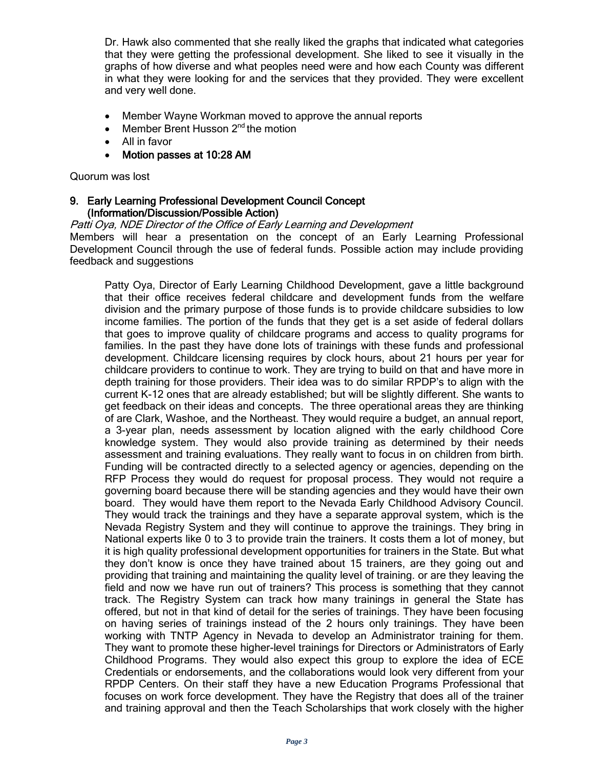Dr. Hawk also commented that she really liked the graphs that indicated what categories that they were getting the professional development. She liked to see it visually in the graphs of how diverse and what peoples need were and how each County was different in what they were looking for and the services that they provided. They were excellent and very well done.

- Member Wayne Workman moved to approve the annual reports
- Member Brent Husson  $2^{nd}$  the motion
- All in favor
- Motion passes at 10:28 AM

Quorum was lost

#### 9. Early Learning Professional Development Council Concept (Information/Discussion/Possible Action)

Patti Oya, NDE Director of the Office of Early Learning and Development

Members will hear a presentation on the concept of an Early Learning Professional Development Council through the use of federal funds. Possible action may include providing feedback and suggestions

Patty Oya, Director of Early Learning Childhood Development, gave a little background that their office receives federal childcare and development funds from the welfare division and the primary purpose of those funds is to provide childcare subsidies to low income families. The portion of the funds that they get is a set aside of federal dollars that goes to improve quality of childcare programs and access to quality programs for families. In the past they have done lots of trainings with these funds and professional development. Childcare licensing requires by clock hours, about 21 hours per year for childcare providers to continue to work. They are trying to build on that and have more in depth training for those providers. Their idea was to do similar RPDP's to align with the current K-12 ones that are already established; but will be slightly different. She wants to get feedback on their ideas and concepts. The three operational areas they are thinking of are Clark, Washoe, and the Northeast. They would require a budget, an annual report, a 3-year plan, needs assessment by location aligned with the early childhood Core knowledge system. They would also provide training as determined by their needs assessment and training evaluations. They really want to focus in on children from birth. Funding will be contracted directly to a selected agency or agencies, depending on the RFP Process they would do request for proposal process. They would not require a governing board because there will be standing agencies and they would have their own board. They would have them report to the Nevada Early Childhood Advisory Council. They would track the trainings and they have a separate approval system, which is the Nevada Registry System and they will continue to approve the trainings. They bring in National experts like 0 to 3 to provide train the trainers. It costs them a lot of money, but it is high quality professional development opportunities for trainers in the State. But what they don't know is once they have trained about 15 trainers, are they going out and providing that training and maintaining the quality level of training. or are they leaving the field and now we have run out of trainers? This process is something that they cannot track. The Registry System can track how many trainings in general the State has offered, but not in that kind of detail for the series of trainings. They have been focusing on having series of trainings instead of the 2 hours only trainings. They have been working with TNTP Agency in Nevada to develop an Administrator training for them. They want to promote these higher-level trainings for Directors or Administrators of Early Childhood Programs. They would also expect this group to explore the idea of ECE Credentials or endorsements, and the collaborations would look very different from your RPDP Centers. On their staff they have a new Education Programs Professional that focuses on work force development. They have the Registry that does all of the trainer and training approval and then the Teach Scholarships that work closely with the higher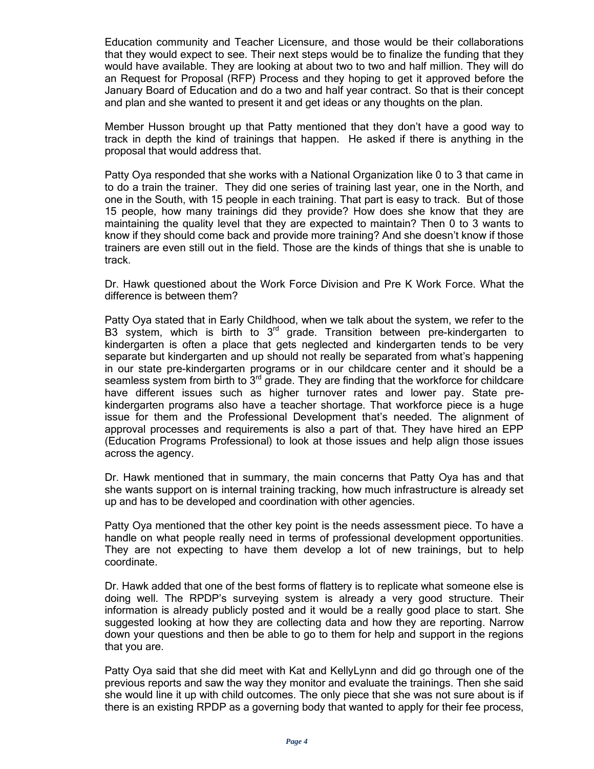Education community and Teacher Licensure, and those would be their collaborations that they would expect to see. Their next steps would be to finalize the funding that they would have available. They are looking at about two to two and half million. They will do an Request for Proposal (RFP) Process and they hoping to get it approved before the January Board of Education and do a two and half year contract. So that is their concept and plan and she wanted to present it and get ideas or any thoughts on the plan.

Member Husson brought up that Patty mentioned that they don't have a good way to track in depth the kind of trainings that happen. He asked if there is anything in the proposal that would address that.

Patty Oya responded that she works with a National Organization like 0 to 3 that came in to do a train the trainer. They did one series of training last year, one in the North, and one in the South, with 15 people in each training. That part is easy to track. But of those 15 people, how many trainings did they provide? How does she know that they are maintaining the quality level that they are expected to maintain? Then 0 to 3 wants to know if they should come back and provide more training? And she doesn't know if those trainers are even still out in the field. Those are the kinds of things that she is unable to track.

Dr. Hawk questioned about the Work Force Division and Pre K Work Force. What the difference is between them?

Patty Oya stated that in Early Childhood, when we talk about the system, we refer to the B3 system, which is birth to  $3<sup>rd</sup>$  grade. Transition between pre-kindergarten to kindergarten is often a place that gets neglected and kindergarten tends to be very separate but kindergarten and up should not really be separated from what's happening in our state pre-kindergarten programs or in our childcare center and it should be a seamless system from birth to  $3<sup>rd</sup>$  grade. They are finding that the workforce for childcare have different issues such as higher turnover rates and lower pay. State prekindergarten programs also have a teacher shortage. That workforce piece is a huge issue for them and the Professional Development that's needed. The alignment of approval processes and requirements is also a part of that. They have hired an EPP (Education Programs Professional) to look at those issues and help align those issues across the agency.

Dr. Hawk mentioned that in summary, the main concerns that Patty Oya has and that she wants support on is internal training tracking, how much infrastructure is already set up and has to be developed and coordination with other agencies.

Patty Oya mentioned that the other key point is the needs assessment piece. To have a handle on what people really need in terms of professional development opportunities. They are not expecting to have them develop a lot of new trainings, but to help coordinate.

Dr. Hawk added that one of the best forms of flattery is to replicate what someone else is doing well. The RPDP's surveying system is already a very good structure. Their information is already publicly posted and it would be a really good place to start. She suggested looking at how they are collecting data and how they are reporting. Narrow down your questions and then be able to go to them for help and support in the regions that you are.

Patty Oya said that she did meet with Kat and KellyLynn and did go through one of the previous reports and saw the way they monitor and evaluate the trainings. Then she said she would line it up with child outcomes. The only piece that she was not sure about is if there is an existing RPDP as a governing body that wanted to apply for their fee process,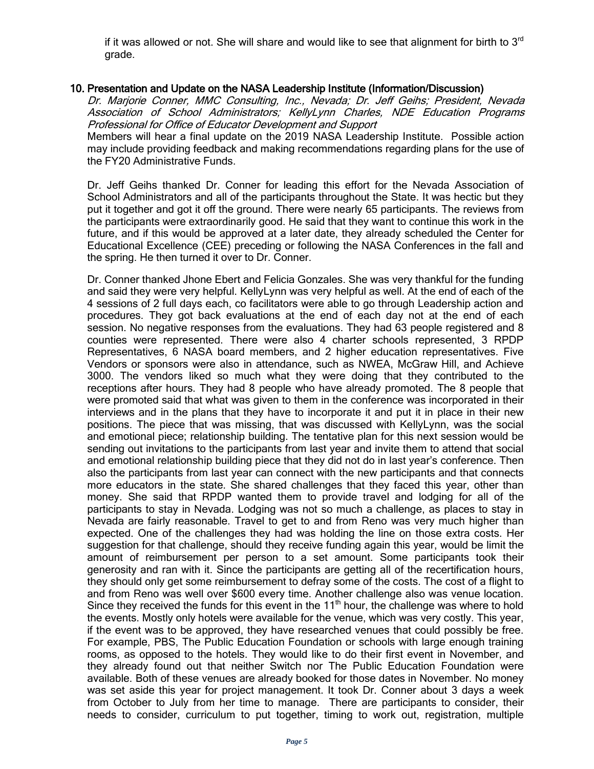if it was allowed or not. She will share and would like to see that alignment for birth to  $3<sup>rd</sup>$ grade.

#### 10. Presentation and Update on the NASA Leadership Institute (Information/Discussion)

Dr. Marjorie Conner, MMC Consulting, Inc., Nevada; Dr. Jeff Geihs; President, Nevada Association of School Administrators; KellyLynn Charles, NDE Education Programs Professional for Office of Educator Development and Support

Members will hear a final update on the 2019 NASA Leadership Institute. Possible action may include providing feedback and making recommendations regarding plans for the use of the FY20 Administrative Funds.

Dr. Jeff Geihs thanked Dr. Conner for leading this effort for the Nevada Association of School Administrators and all of the participants throughout the State. It was hectic but they put it together and got it off the ground. There were nearly 65 participants. The reviews from the participants were extraordinarily good. He said that they want to continue this work in the future, and if this would be approved at a later date, they already scheduled the Center for Educational Excellence (CEE) preceding or following the NASA Conferences in the fall and the spring. He then turned it over to Dr. Conner.

Dr. Conner thanked Jhone Ebert and Felicia Gonzales. She was very thankful for the funding and said they were very helpful. KellyLynn was very helpful as well. At the end of each of the 4 sessions of 2 full days each, co facilitators were able to go through Leadership action and procedures. They got back evaluations at the end of each day not at the end of each session. No negative responses from the evaluations. They had 63 people registered and 8 counties were represented. There were also 4 charter schools represented, 3 RPDP Representatives, 6 NASA board members, and 2 higher education representatives. Five Vendors or sponsors were also in attendance, such as NWEA, McGraw Hill, and Achieve 3000. The vendors liked so much what they were doing that they contributed to the receptions after hours. They had 8 people who have already promoted. The 8 people that were promoted said that what was given to them in the conference was incorporated in their interviews and in the plans that they have to incorporate it and put it in place in their new positions. The piece that was missing, that was discussed with KellyLynn, was the social and emotional piece; relationship building. The tentative plan for this next session would be sending out invitations to the participants from last year and invite them to attend that social and emotional relationship building piece that they did not do in last year's conference. Then also the participants from last year can connect with the new participants and that connects more educators in the state. She shared challenges that they faced this year, other than money. She said that RPDP wanted them to provide travel and lodging for all of the participants to stay in Nevada. Lodging was not so much a challenge, as places to stay in Nevada are fairly reasonable. Travel to get to and from Reno was very much higher than expected. One of the challenges they had was holding the line on those extra costs. Her suggestion for that challenge, should they receive funding again this year, would be limit the amount of reimbursement per person to a set amount. Some participants took their generosity and ran with it. Since the participants are getting all of the recertification hours, they should only get some reimbursement to defray some of the costs. The cost of a flight to and from Reno was well over \$600 every time. Another challenge also was venue location. Since they received the funds for this event in the  $11<sup>th</sup>$  hour, the challenge was where to hold the events. Mostly only hotels were available for the venue, which was very costly. This year, if the event was to be approved, they have researched venues that could possibly be free. For example, PBS, The Public Education Foundation or schools with large enough training rooms, as opposed to the hotels. They would like to do their first event in November, and they already found out that neither Switch nor The Public Education Foundation were available. Both of these venues are already booked for those dates in November. No money was set aside this year for project management. It took Dr. Conner about 3 days a week from October to July from her time to manage. There are participants to consider, their needs to consider, curriculum to put together, timing to work out, registration, multiple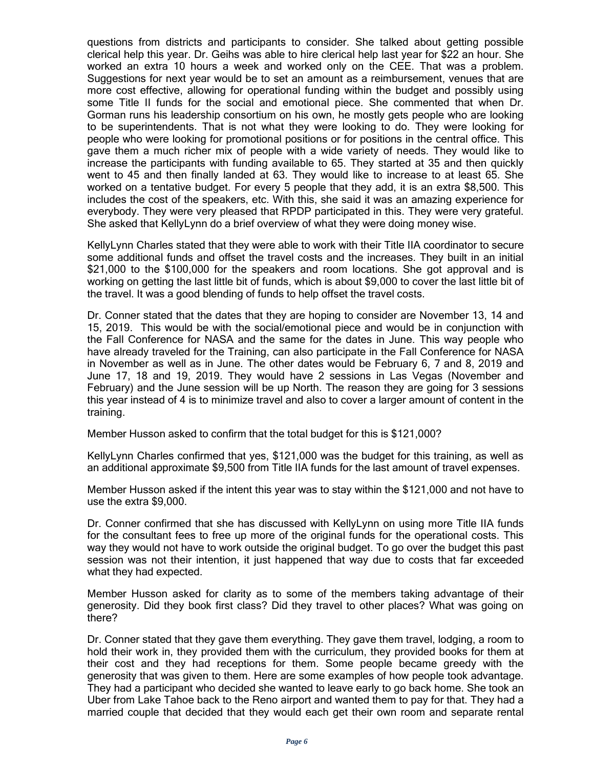questions from districts and participants to consider. She talked about getting possible clerical help this year. Dr. Geihs was able to hire clerical help last year for \$22 an hour. She worked an extra 10 hours a week and worked only on the CEE. That was a problem. Suggestions for next year would be to set an amount as a reimbursement, venues that are more cost effective, allowing for operational funding within the budget and possibly using some Title II funds for the social and emotional piece. She commented that when Dr. Gorman runs his leadership consortium on his own, he mostly gets people who are looking to be superintendents. That is not what they were looking to do. They were looking for people who were looking for promotional positions or for positions in the central office. This gave them a much richer mix of people with a wide variety of needs. They would like to increase the participants with funding available to 65. They started at 35 and then quickly went to 45 and then finally landed at 63. They would like to increase to at least 65. She worked on a tentative budget. For every 5 people that they add, it is an extra \$8,500. This includes the cost of the speakers, etc. With this, she said it was an amazing experience for everybody. They were very pleased that RPDP participated in this. They were very grateful. She asked that KellyLynn do a brief overview of what they were doing money wise.

KellyLynn Charles stated that they were able to work with their Title IIA coordinator to secure some additional funds and offset the travel costs and the increases. They built in an initial \$21,000 to the \$100,000 for the speakers and room locations. She got approval and is working on getting the last little bit of funds, which is about \$9,000 to cover the last little bit of the travel. It was a good blending of funds to help offset the travel costs.

Dr. Conner stated that the dates that they are hoping to consider are November 13, 14 and 15, 2019. This would be with the social/emotional piece and would be in conjunction with the Fall Conference for NASA and the same for the dates in June. This way people who have already traveled for the Training, can also participate in the Fall Conference for NASA in November as well as in June. The other dates would be February 6, 7 and 8, 2019 and June 17, 18 and 19, 2019. They would have 2 sessions in Las Vegas (November and February) and the June session will be up North. The reason they are going for 3 sessions this year instead of 4 is to minimize travel and also to cover a larger amount of content in the training.

Member Husson asked to confirm that the total budget for this is \$121,000?

KellyLynn Charles confirmed that yes, \$121,000 was the budget for this training, as well as an additional approximate \$9,500 from Title IIA funds for the last amount of travel expenses.

Member Husson asked if the intent this year was to stay within the \$121,000 and not have to use the extra \$9,000.

Dr. Conner confirmed that she has discussed with KellyLynn on using more Title IIA funds for the consultant fees to free up more of the original funds for the operational costs. This way they would not have to work outside the original budget. To go over the budget this past session was not their intention, it just happened that way due to costs that far exceeded what they had expected.

Member Husson asked for clarity as to some of the members taking advantage of their generosity. Did they book first class? Did they travel to other places? What was going on there?

Dr. Conner stated that they gave them everything. They gave them travel, lodging, a room to hold their work in, they provided them with the curriculum, they provided books for them at their cost and they had receptions for them. Some people became greedy with the generosity that was given to them. Here are some examples of how people took advantage. They had a participant who decided she wanted to leave early to go back home. She took an Uber from Lake Tahoe back to the Reno airport and wanted them to pay for that. They had a married couple that decided that they would each get their own room and separate rental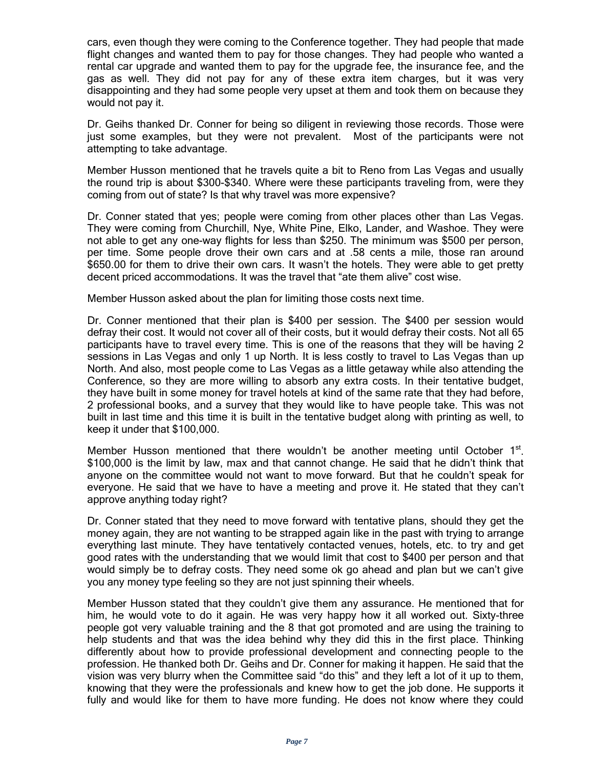cars, even though they were coming to the Conference together. They had people that made flight changes and wanted them to pay for those changes. They had people who wanted a rental car upgrade and wanted them to pay for the upgrade fee, the insurance fee, and the gas as well. They did not pay for any of these extra item charges, but it was very disappointing and they had some people very upset at them and took them on because they would not pay it.

Dr. Geihs thanked Dr. Conner for being so diligent in reviewing those records. Those were just some examples, but they were not prevalent. Most of the participants were not attempting to take advantage.

Member Husson mentioned that he travels quite a bit to Reno from Las Vegas and usually the round trip is about \$300-\$340. Where were these participants traveling from, were they coming from out of state? Is that why travel was more expensive?

Dr. Conner stated that yes; people were coming from other places other than Las Vegas. They were coming from Churchill, Nye, White Pine, Elko, Lander, and Washoe. They were not able to get any one-way flights for less than \$250. The minimum was \$500 per person, per time. Some people drove their own cars and at .58 cents a mile, those ran around \$650.00 for them to drive their own cars. It wasn't the hotels. They were able to get pretty decent priced accommodations. It was the travel that "ate them alive" cost wise.

Member Husson asked about the plan for limiting those costs next time.

Dr. Conner mentioned that their plan is \$400 per session. The \$400 per session would defray their cost. It would not cover all of their costs, but it would defray their costs. Not all 65 participants have to travel every time. This is one of the reasons that they will be having 2 sessions in Las Vegas and only 1 up North. It is less costly to travel to Las Vegas than up North. And also, most people come to Las Vegas as a little getaway while also attending the Conference, so they are more willing to absorb any extra costs. In their tentative budget, they have built in some money for travel hotels at kind of the same rate that they had before, 2 professional books, and a survey that they would like to have people take. This was not built in last time and this time it is built in the tentative budget along with printing as well, to keep it under that \$100,000.

Member Husson mentioned that there wouldn't be another meeting until October  $1<sup>st</sup>$ . \$100,000 is the limit by law, max and that cannot change. He said that he didn't think that anyone on the committee would not want to move forward. But that he couldn't speak for everyone. He said that we have to have a meeting and prove it. He stated that they can't approve anything today right?

Dr. Conner stated that they need to move forward with tentative plans, should they get the money again, they are not wanting to be strapped again like in the past with trying to arrange everything last minute. They have tentatively contacted venues, hotels, etc. to try and get good rates with the understanding that we would limit that cost to \$400 per person and that would simply be to defray costs. They need some ok go ahead and plan but we can't give you any money type feeling so they are not just spinning their wheels.

Member Husson stated that they couldn't give them any assurance. He mentioned that for him, he would vote to do it again. He was very happy how it all worked out. Sixty-three people got very valuable training and the 8 that got promoted and are using the training to help students and that was the idea behind why they did this in the first place. Thinking differently about how to provide professional development and connecting people to the profession. He thanked both Dr. Geihs and Dr. Conner for making it happen. He said that the vision was very blurry when the Committee said "do this" and they left a lot of it up to them, knowing that they were the professionals and knew how to get the job done. He supports it fully and would like for them to have more funding. He does not know where they could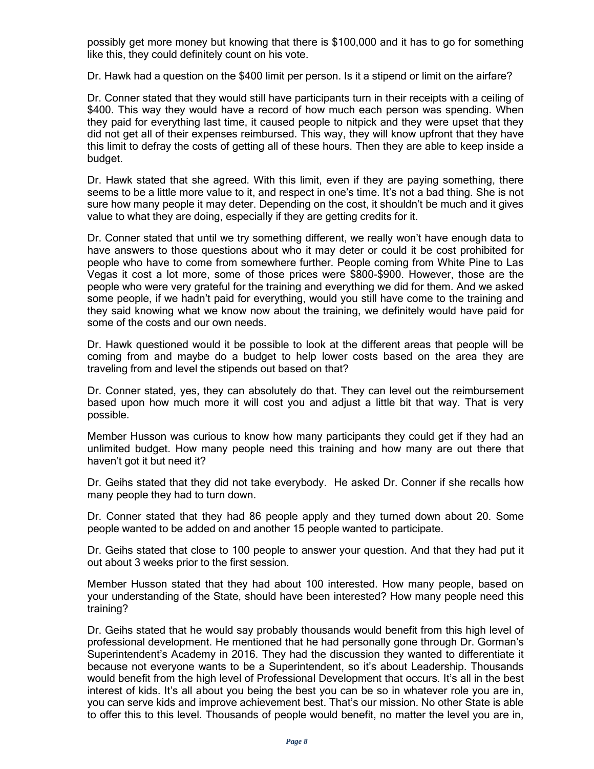possibly get more money but knowing that there is \$100,000 and it has to go for something like this, they could definitely count on his vote.

Dr. Hawk had a question on the \$400 limit per person. Is it a stipend or limit on the airfare?

Dr. Conner stated that they would still have participants turn in their receipts with a ceiling of \$400. This way they would have a record of how much each person was spending. When they paid for everything last time, it caused people to nitpick and they were upset that they did not get all of their expenses reimbursed. This way, they will know upfront that they have this limit to defray the costs of getting all of these hours. Then they are able to keep inside a budget.

Dr. Hawk stated that she agreed. With this limit, even if they are paying something, there seems to be a little more value to it, and respect in one's time. It's not a bad thing. She is not sure how many people it may deter. Depending on the cost, it shouldn't be much and it gives value to what they are doing, especially if they are getting credits for it.

Dr. Conner stated that until we try something different, we really won't have enough data to have answers to those questions about who it may deter or could it be cost prohibited for people who have to come from somewhere further. People coming from White Pine to Las Vegas it cost a lot more, some of those prices were \$800-\$900. However, those are the people who were very grateful for the training and everything we did for them. And we asked some people, if we hadn't paid for everything, would you still have come to the training and they said knowing what we know now about the training, we definitely would have paid for some of the costs and our own needs.

Dr. Hawk questioned would it be possible to look at the different areas that people will be coming from and maybe do a budget to help lower costs based on the area they are traveling from and level the stipends out based on that?

Dr. Conner stated, yes, they can absolutely do that. They can level out the reimbursement based upon how much more it will cost you and adjust a little bit that way. That is very possible.

Member Husson was curious to know how many participants they could get if they had an unlimited budget. How many people need this training and how many are out there that haven't got it but need it?

Dr. Geihs stated that they did not take everybody. He asked Dr. Conner if she recalls how many people they had to turn down.

Dr. Conner stated that they had 86 people apply and they turned down about 20. Some people wanted to be added on and another 15 people wanted to participate.

Dr. Geihs stated that close to 100 people to answer your question. And that they had put it out about 3 weeks prior to the first session.

Member Husson stated that they had about 100 interested. How many people, based on your understanding of the State, should have been interested? How many people need this training?

Dr. Geihs stated that he would say probably thousands would benefit from this high level of professional development. He mentioned that he had personally gone through Dr. Gorman's Superintendent's Academy in 2016. They had the discussion they wanted to differentiate it because not everyone wants to be a Superintendent, so it's about Leadership. Thousands would benefit from the high level of Professional Development that occurs. It's all in the best interest of kids. It's all about you being the best you can be so in whatever role you are in, you can serve kids and improve achievement best. That's our mission. No other State is able to offer this to this level. Thousands of people would benefit, no matter the level you are in,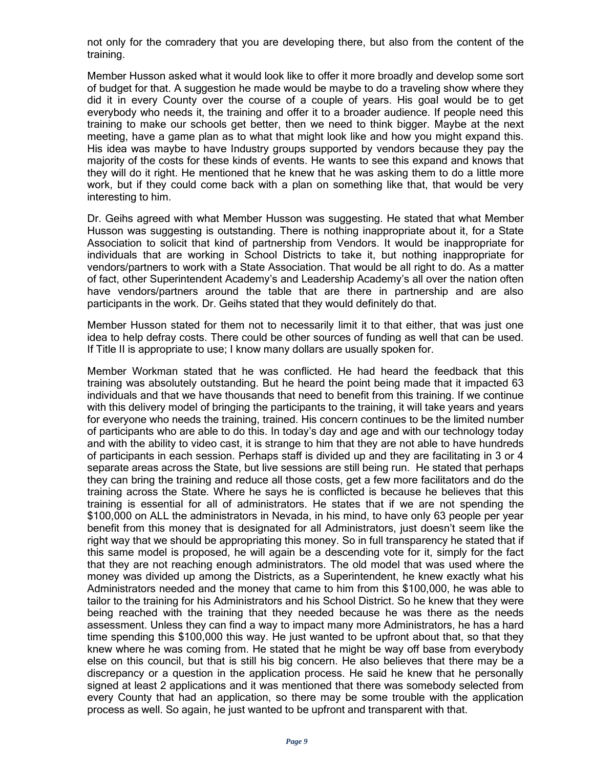not only for the comradery that you are developing there, but also from the content of the training.

Member Husson asked what it would look like to offer it more broadly and develop some sort of budget for that. A suggestion he made would be maybe to do a traveling show where they did it in every County over the course of a couple of years. His goal would be to get everybody who needs it, the training and offer it to a broader audience. If people need this training to make our schools get better, then we need to think bigger. Maybe at the next meeting, have a game plan as to what that might look like and how you might expand this. His idea was maybe to have Industry groups supported by vendors because they pay the majority of the costs for these kinds of events. He wants to see this expand and knows that they will do it right. He mentioned that he knew that he was asking them to do a little more work, but if they could come back with a plan on something like that, that would be very interesting to him.

Dr. Geihs agreed with what Member Husson was suggesting. He stated that what Member Husson was suggesting is outstanding. There is nothing inappropriate about it, for a State Association to solicit that kind of partnership from Vendors. It would be inappropriate for individuals that are working in School Districts to take it, but nothing inappropriate for vendors/partners to work with a State Association. That would be all right to do. As a matter of fact, other Superintendent Academy's and Leadership Academy's all over the nation often have vendors/partners around the table that are there in partnership and are also participants in the work. Dr. Geihs stated that they would definitely do that.

Member Husson stated for them not to necessarily limit it to that either, that was just one idea to help defray costs. There could be other sources of funding as well that can be used. If Title II is appropriate to use; I know many dollars are usually spoken for.

Member Workman stated that he was conflicted. He had heard the feedback that this training was absolutely outstanding. But he heard the point being made that it impacted 63 individuals and that we have thousands that need to benefit from this training. If we continue with this delivery model of bringing the participants to the training, it will take years and years for everyone who needs the training, trained. His concern continues to be the limited number of participants who are able to do this. In today's day and age and with our technology today and with the ability to video cast, it is strange to him that they are not able to have hundreds of participants in each session. Perhaps staff is divided up and they are facilitating in 3 or 4 separate areas across the State, but live sessions are still being run. He stated that perhaps they can bring the training and reduce all those costs, get a few more facilitators and do the training across the State. Where he says he is conflicted is because he believes that this training is essential for all of administrators. He states that if we are not spending the \$100,000 on ALL the administrators in Nevada, in his mind, to have only 63 people per year benefit from this money that is designated for all Administrators, just doesn't seem like the right way that we should be appropriating this money. So in full transparency he stated that if this same model is proposed, he will again be a descending vote for it, simply for the fact that they are not reaching enough administrators. The old model that was used where the money was divided up among the Districts, as a Superintendent, he knew exactly what his Administrators needed and the money that came to him from this \$100,000, he was able to tailor to the training for his Administrators and his School District. So he knew that they were being reached with the training that they needed because he was there as the needs assessment. Unless they can find a way to impact many more Administrators, he has a hard time spending this \$100,000 this way. He just wanted to be upfront about that, so that they knew where he was coming from. He stated that he might be way off base from everybody else on this council, but that is still his big concern. He also believes that there may be a discrepancy or a question in the application process. He said he knew that he personally signed at least 2 applications and it was mentioned that there was somebody selected from every County that had an application, so there may be some trouble with the application process as well. So again, he just wanted to be upfront and transparent with that.